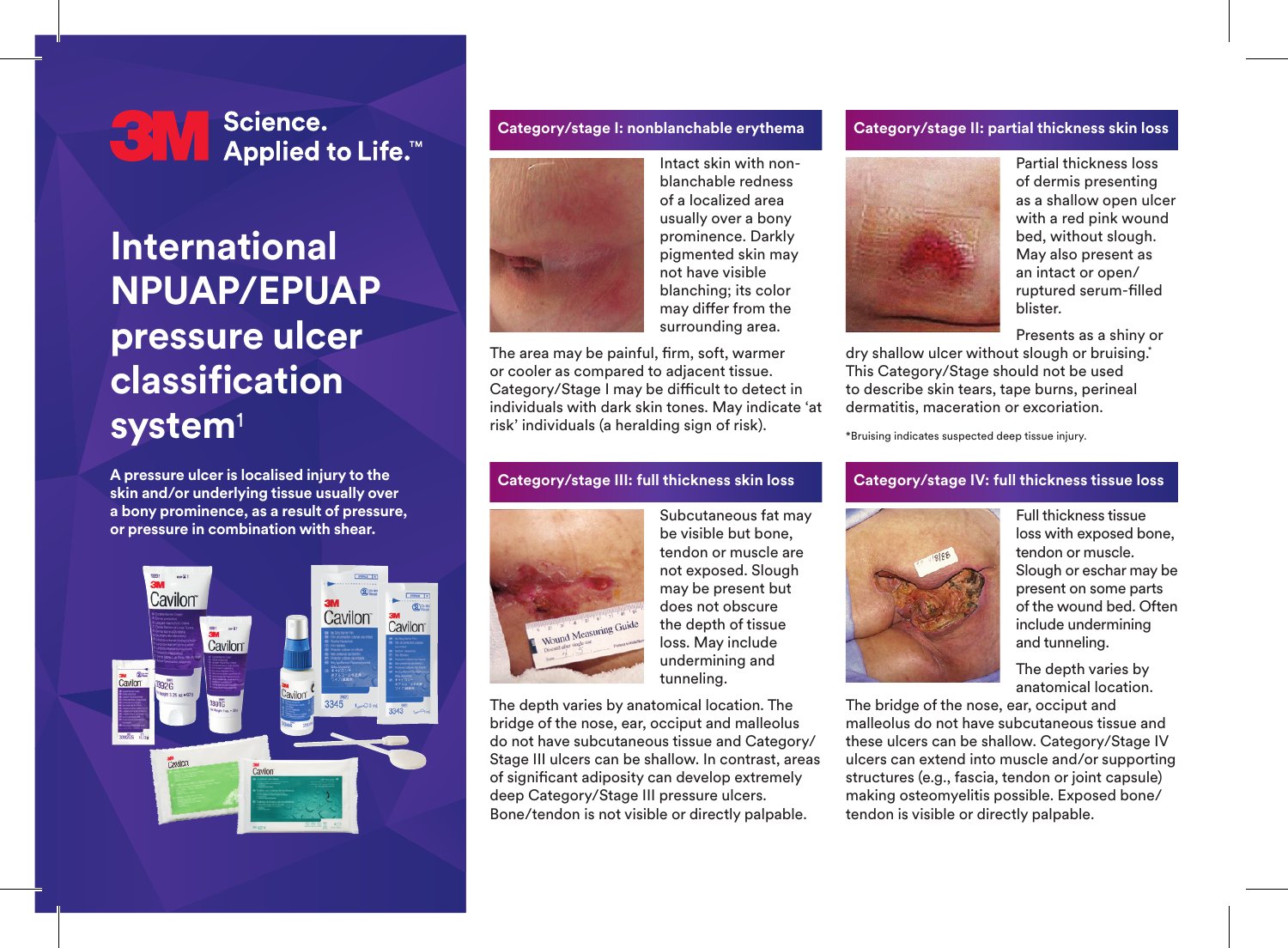**SM** Science. Applied to Life.<sup>™</sup>

# **International NPUAP/EPUAP pressure ulcer classification system**<sup>1</sup>

**A pressure ulcer is localised injury to the skin and/or underlying tissue usually over a bony prominence, as a result of pressure, or pressure in combination with shear.**



#### **Category/stage I: nonblanchable erythema**



Intact skin with nonblanchable redness of a localized area usually over a bony prominence. Darkly pigmented skin may not have visible blanching; its color may differ from the surrounding area.

The area may be painful, firm, soft, warmer or cooler as compared to adjacent tissue. Category/Stage I may be difficult to detect in individuals with dark skin tones. May indicate 'at risk' individuals (a heralding sign of risk).

## **Category/stage III: full thickness skin loss**



be visible but bone, tendon or muscle are not exposed. Slough may be present but does not obscure the depth of tissue loss. May include undermining and tunneling.

Subcutaneous fat may

The depth varies by anatomical location. The bridge of the nose, ear, occiput and malleolus do not have subcutaneous tissue and Category/ Stage III ulcers can be shallow. In contrast, areas of significant adiposity can develop extremely deep Category/Stage III pressure ulcers. Bone/tendon is not visible or directly palpable.

#### **Category/stage II: partial thickness skin loss**



Partial thickness loss of dermis presenting as a shallow open ulcer with a red pink wound bed, without slough. May also present as an intact or open/ ruptured serum-filled blister.

Presents as a shiny or

dry shallow ulcer without slough or bruising.\* This Category/Stage should not be used to describe skin tears, tape burns, perineal dermatitis, maceration or excoriation.

\*Bruising indicates suspected deep tissue injury.

## **Category/stage IV: full thickness tissue loss**



Full thickness tissue loss with exposed bone, tendon or muscle. Slough or eschar may be present on some parts of the wound bed. Often include undermining and tunneling.

The depth varies by anatomical location.

The bridge of the nose, ear, occiput and malleolus do not have subcutaneous tissue and these ulcers can be shallow. Category/Stage IV ulcers can extend into muscle and/or supporting structures (e.g., fascia, tendon or joint capsule) making osteomyelitis possible. Exposed bone/ tendon is visible or directly palpable.